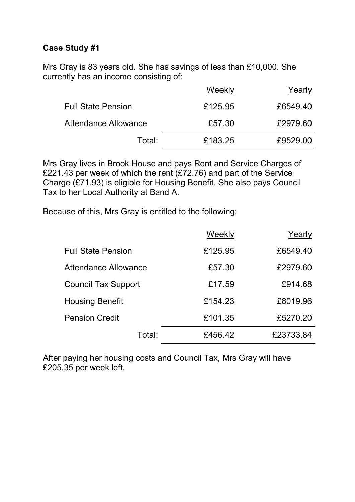Mrs Gray is 83 years old. She has savings of less than £10,000. She currently has an income consisting of:

|                           | Weekly  | Yearly   |
|---------------------------|---------|----------|
| <b>Full State Pension</b> | £125.95 | £6549.40 |
| Attendance Allowance      | £57.30  | £2979.60 |
| Total:                    | £183.25 | £9529.00 |

Mrs Gray lives in Brook House and pays Rent and Service Charges of £221.43 per week of which the rent (£72.76) and part of the Service Charge (£71.93) is eligible for Housing Benefit. She also pays Council Tax to her Local Authority at Band A.

Because of this, Mrs Gray is entitled to the following:

| <b>Full State Pension</b><br>£125.95<br>£6549.40<br>£2979.60<br>£57.30<br>Attendance Allowance<br>£914.68<br><b>Council Tax Support</b><br>£17.59<br>£8019.96<br><b>Housing Benefit</b><br>£154.23<br>£101.35<br>£5270.20<br><b>Pension Credit</b><br>£23733.84<br>£456.42<br>Total: | Weekly | Yearly |
|--------------------------------------------------------------------------------------------------------------------------------------------------------------------------------------------------------------------------------------------------------------------------------------|--------|--------|
|                                                                                                                                                                                                                                                                                      |        |        |
|                                                                                                                                                                                                                                                                                      |        |        |
|                                                                                                                                                                                                                                                                                      |        |        |
|                                                                                                                                                                                                                                                                                      |        |        |
|                                                                                                                                                                                                                                                                                      |        |        |
|                                                                                                                                                                                                                                                                                      |        |        |

After paying her housing costs and Council Tax, Mrs Gray will have £205.35 per week left.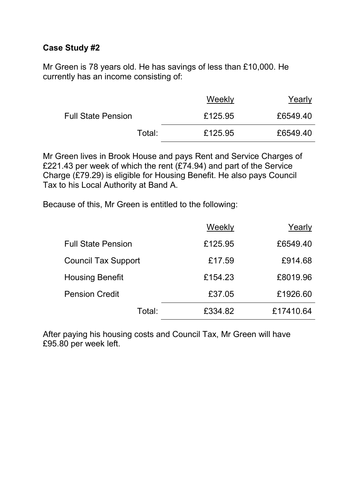Mr Green is 78 years old. He has savings of less than £10,000. He currently has an income consisting of:

|                           | Weekly  | Yearly   |
|---------------------------|---------|----------|
| <b>Full State Pension</b> | £125.95 | £6549.40 |
| Total:                    | £125.95 | £6549.40 |

Mr Green lives in Brook House and pays Rent and Service Charges of £221.43 per week of which the rent (£74.94) and part of the Service Charge (£79.29) is eligible for Housing Benefit. He also pays Council Tax to his Local Authority at Band A.

Because of this, Mr Green is entitled to the following:

|                            | Weekly  | Yearly    |
|----------------------------|---------|-----------|
| <b>Full State Pension</b>  | £125.95 | £6549.40  |
| <b>Council Tax Support</b> | £17.59  | £914.68   |
| <b>Housing Benefit</b>     | £154.23 | £8019.96  |
| <b>Pension Credit</b>      | £37.05  | £1926.60  |
| Total:                     | £334.82 | £17410.64 |

After paying his housing costs and Council Tax, Mr Green will have £95.80 per week left.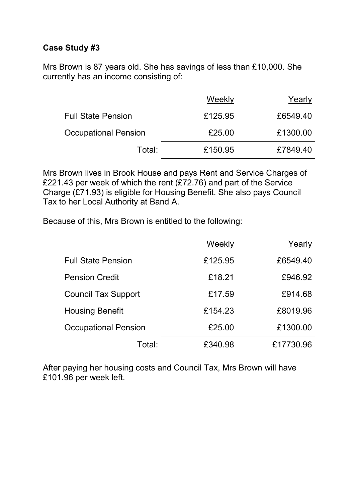Mrs Brown is 87 years old. She has savings of less than £10,000. She currently has an income consisting of:

|                             | Weekly  | Yearly   |
|-----------------------------|---------|----------|
| <b>Full State Pension</b>   | £125.95 | £6549.40 |
| <b>Occupational Pension</b> | £25.00  | £1300.00 |
| Total:                      | £150.95 | £7849.40 |

Mrs Brown lives in Brook House and pays Rent and Service Charges of £221.43 per week of which the rent (£72.76) and part of the Service Charge (£71.93) is eligible for Housing Benefit. She also pays Council Tax to her Local Authority at Band A.

Because of this, Mrs Brown is entitled to the following:

|                             | Weekly  | Yearly    |
|-----------------------------|---------|-----------|
| <b>Full State Pension</b>   | £125.95 | £6549.40  |
| <b>Pension Credit</b>       | £18.21  | £946.92   |
| <b>Council Tax Support</b>  | £17.59  | £914.68   |
| <b>Housing Benefit</b>      | £154.23 | £8019.96  |
| <b>Occupational Pension</b> | £25.00  | £1300.00  |
| Total:                      | £340.98 | £17730.96 |

After paying her housing costs and Council Tax, Mrs Brown will have £101.96 per week left.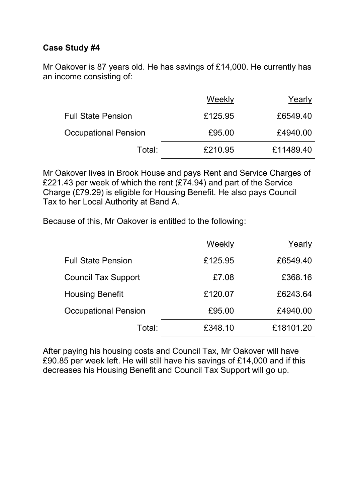Mr Oakover is 87 years old. He has savings of £14,000. He currently has an income consisting of:

|                             | Weekly  | Yearly    |
|-----------------------------|---------|-----------|
| <b>Full State Pension</b>   | £125.95 | £6549.40  |
| <b>Occupational Pension</b> | £95.00  | £4940.00  |
| Total:                      | £210.95 | £11489.40 |

Mr Oakover lives in Brook House and pays Rent and Service Charges of £221.43 per week of which the rent (£74.94) and part of the Service Charge (£79.29) is eligible for Housing Benefit. He also pays Council Tax to her Local Authority at Band A.

Because of this, Mr Oakover is entitled to the following:

|                             | Weekly  | Yearly    |
|-----------------------------|---------|-----------|
| <b>Full State Pension</b>   | £125.95 | £6549.40  |
| <b>Council Tax Support</b>  | £7.08   | £368.16   |
| <b>Housing Benefit</b>      | £120.07 | £6243.64  |
| <b>Occupational Pension</b> | £95.00  | £4940.00  |
| Total:                      | £348.10 | £18101.20 |

After paying his housing costs and Council Tax, Mr Oakover will have £90.85 per week left. He will still have his savings of £14,000 and if this decreases his Housing Benefit and Council Tax Support will go up.